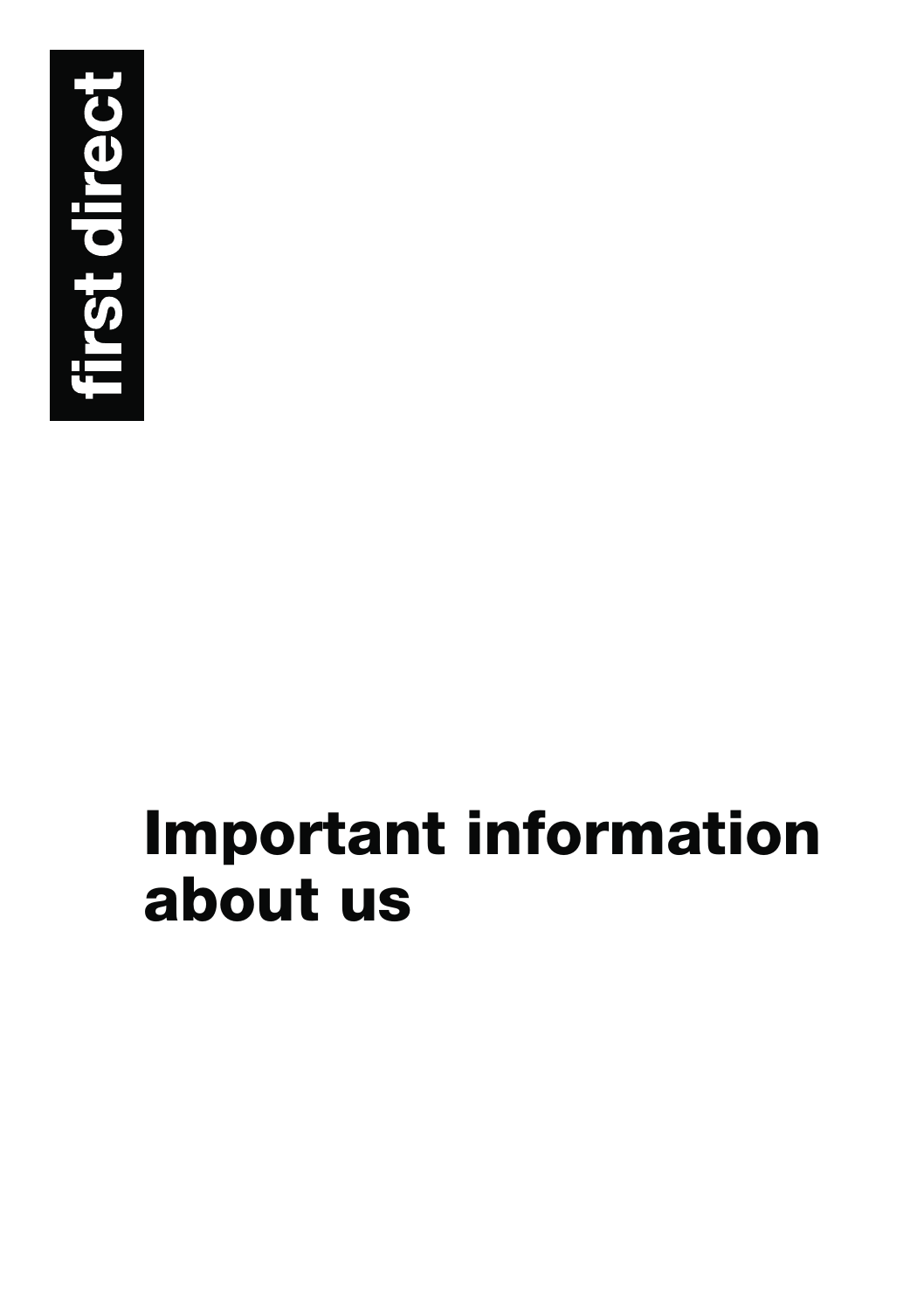

# **Important information about us**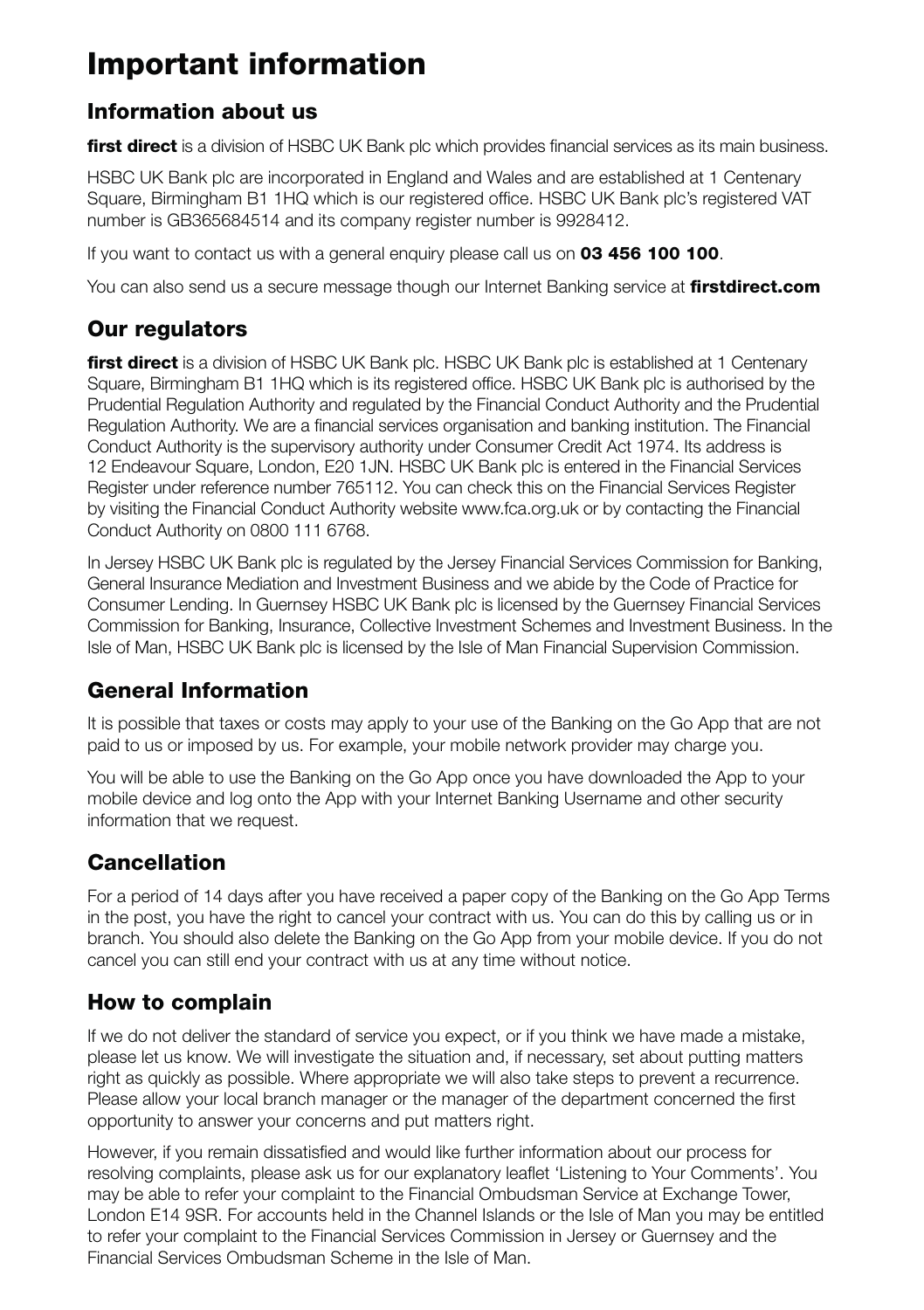# **Important information**

## **Information about us**

**first direct** is a division of HSBC UK Bank plc which provides financial services as its main business.

HSBC UK Bank plc are incorporated in England and Wales and are established at 1 Centenary Square, Birmingham B1 1HQ which is our registered office. HSBC UK Bank plc's registered VAT number is GB365684514 and its company register number is 9928412.

If you want to contact us with a general enquiry please call us on **03 456 100 100**.

You can also send us a secure message though our Internet Banking service at **firstdirect.com**

### **Our regulators**

**first direct** is a division of HSBC UK Bank plc. HSBC UK Bank plc is established at 1 Centenary Square, Birmingham B1 1HQ which is its registered office. HSBC UK Bank plc is authorised by the Prudential Regulation Authority and regulated by the Financial Conduct Authority and the Prudential Regulation Authority. We are a financial services organisation and banking institution. The Financial Conduct Authority is the supervisory authority under Consumer Credit Act 1974. Its address is 12 Endeavour Square, London, E20 1JN. HSBC UK Bank plc is entered in the Financial Services Register under reference number 765112. You can check this on the Financial Services Register by visiting the Financial Conduct Authority website www.fca.org.uk or by contacting the Financial Conduct Authority on 0800 111 6768.

In Jersey HSBC UK Bank plc is regulated by the Jersey Financial Services Commission for Banking, General Insurance Mediation and Investment Business and we abide by the Code of Practice for Consumer Lending. In Guernsey HSBC UK Bank plc is licensed by the Guernsey Financial Services Commission for Banking, Insurance, Collective Investment Schemes and Investment Business. In the Isle of Man, HSBC UK Bank plc is licensed by the Isle of Man Financial Supervision Commission.

## **General Information**

It is possible that taxes or costs may apply to your use of the Banking on the Go App that are not paid to us or imposed by us. For example, your mobile network provider may charge you.

You will be able to use the Banking on the Go App once you have downloaded the App to your mobile device and log onto the App with your Internet Banking Username and other security information that we request.

# **Cancellation**

For a period of 14 days after you have received a paper copy of the Banking on the Go App Terms in the post, you have the right to cancel your contract with us. You can do this by calling us or in branch. You should also delete the Banking on the Go App from your mobile device. If you do not cancel you can still end your contract with us at any time without notice.

## **How to complain**

If we do not deliver the standard of service you expect, or if you think we have made a mistake, please let us know. We will investigate the situation and, if necessary, set about putting matters right as quickly as possible. Where appropriate we will also take steps to prevent a recurrence. Please allow your local branch manager or the manager of the department concerned the first opportunity to answer your concerns and put matters right.

However, if you remain dissatisfied and would like further information about our process for resolving complaints, please ask us for our explanatory leaflet 'Listening to Your Comments'. You may be able to refer your complaint to the Financial Ombudsman Service at Exchange Tower, London E14 9SR. For accounts held in the Channel Islands or the Isle of Man you may be entitled to refer your complaint to the Financial Services Commission in Jersey or Guernsey and the Financial Services Ombudsman Scheme in the Isle of Man.